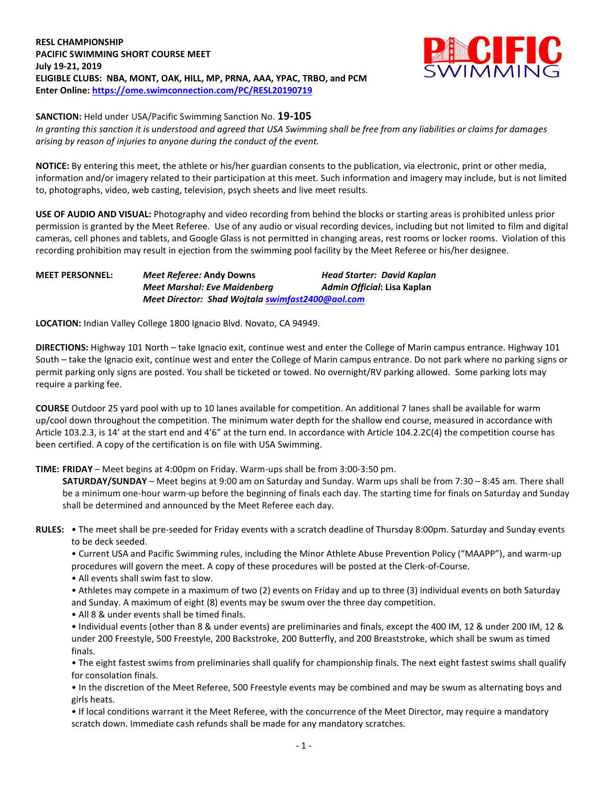**RESL CHAMPIONSHIP PACIFIC SWIMMING SHORT COURSE MEET July 19-21, 2019 ELIGIBLE CLUBS: NBA, MONT, OAK, HILL, MP, PRNA, AAA, YPAC, TRBO, and PCM Enter Online: <https://ome.swimconnection.com/PC/RESL20190719>**



**SANCTION:** Held under USA/Pacific Swimming Sanction No. **19-105**

*In granting this sanction it is understood and agreed that USA Swimming shall be free from any liabilities or claims for damages arising by reason of injuries to anyone during the conduct of the event.*

**NOTICE:** By entering this meet, the athlete or his/her guardian consents to the publication, via electronic, print or other media, information and/or imagery related to their participation at this meet. Such information and imagery may include, but is not limited to, photographs, video, web casting, television, psych sheets and live meet results.

**USE OF AUDIO AND VISUAL:** Photography and video recording from behind the blocks or starting areas is prohibited unless prior permission is granted by the Meet Referee. Use of any audio or visual recording devices, including but not limited to film and digital cameras, cell phones and tablets, and Google Glass is not permitted in changing areas, rest rooms or locker rooms. Violation of this recording prohibition may result in ejection from the swimming pool facility by the Meet Referee or his/her designee.

| <b>MEET PERSONNEL:</b> | <i>Meet Referee: Andy Downs</i>                  | <b>Head Starter: David Kaplan</b> |
|------------------------|--------------------------------------------------|-----------------------------------|
|                        | Meet Marshal: Eve Maidenberg                     | Admin Official: Lisa Kaplan       |
|                        | Meet Director: Shad Wojtala swimfast2400@aol.com |                                   |

**LOCATION:** Indian Valley College 1800 Ignacio Blvd. Novato, CA 94949.

**DIRECTIONS:** Highway 101 North – take Ignacio exit, continue west and enter the College of Marin campus entrance. Highway 101 South – take the Ignacio exit, continue west and enter the College of Marin campus entrance. Do not park where no parking signs or permit parking only signs are posted. You shall be ticketed or towed. No overnight/RV parking allowed. Some parking lots may require a parking fee.

**COURSE** Outdoor 25 yard pool with up to 10 lanes available for competition. An additional 7 lanes shall be available for warm up/cool down throughout the competition. The minimum water depth for the shallow end course, measured in accordance with Article 103.2.3, is 14' at the start end and 4'6" at the turn end. In accordance with Article 104.2.2C(4) the competition course has been certified. A copy of the certification is on file with USA Swimming.

**TIME: FRIDAY** – Meet begins at 4:00pm on Friday. Warm-ups shall be from 3:00-3:50 pm.

**SATURDAY/SUNDAY** – Meet begins at 9:00 am on Saturday and Sunday. Warm ups shall be from 7:30 – 8:45 am. There shall be a minimum one-hour warm-up before the beginning of finals each day. The starting time for finals on Saturday and Sunday shall be determined and announced by the Meet Referee each day.

- **RULES:** The meet shall be pre-seeded for Friday events with a scratch deadline of Thursday 8:00pm. Saturday and Sunday events to be deck seeded.
	- Current USA and Pacific Swimming rules, including the Minor Athlete Abuse Prevention Policy ("MAAPP"), and warm-up procedures will govern the meet. A copy of these procedures will be posted at the Clerk-of-Course.
	- All events shall swim fast to slow.
	- Athletes may compete in a maximum of two (2) events on Friday and up to three (3) individual events on both Saturday and Sunday. A maximum of eight (8) events may be swum over the three day competition.
	- All 8 & under events shall be timed finals.

• Individual events (other than 8 & under events) are preliminaries and finals, except the 400 IM, 12 & under 200 IM, 12 & under 200 Freestyle, 500 Freestyle, 200 Backstroke, 200 Butterfly, and 200 Breaststroke, which shall be swum as timed finals.

• The eight fastest swims from preliminaries shall qualify for championship finals. The next eight fastest swims shall qualify for consolation finals.

• In the discretion of the Meet Referee, 500 Freestyle events may be combined and may be swum as alternating boys and girls heats.

• If local conditions warrant it the Meet Referee, with the concurrence of the Meet Director, may require a mandatory scratch down. Immediate cash refunds shall be made for any mandatory scratches.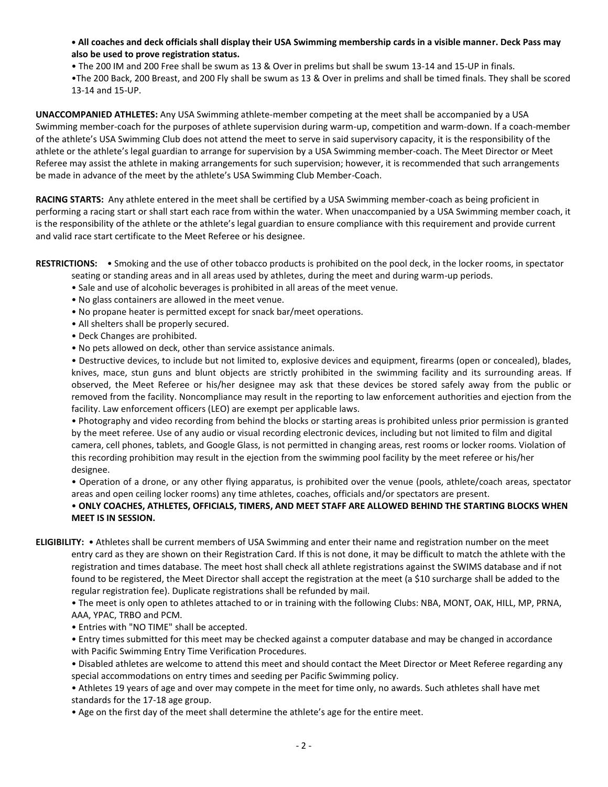**• All coaches and deck officials shall display their USA Swimming membership cards in a visible manner. Deck Pass may also be used to prove registration status.** 

• The 200 IM and 200 Free shall be swum as 13 & Over in prelims but shall be swum 13-14 and 15-UP in finals.

•The 200 Back, 200 Breast, and 200 Fly shall be swum as 13 & Over in prelims and shall be timed finals. They shall be scored 13-14 and 15-UP.

**UNACCOMPANIED ATHLETES:** Any USA Swimming athlete-member competing at the meet shall be accompanied by a USA Swimming member-coach for the purposes of athlete supervision during warm-up, competition and warm-down. If a coach-member of the athlete's USA Swimming Club does not attend the meet to serve in said supervisory capacity, it is the responsibility of the athlete or the athlete's legal guardian to arrange for supervision by a USA Swimming member-coach. The Meet Director or Meet Referee may assist the athlete in making arrangements for such supervision; however, it is recommended that such arrangements be made in advance of the meet by the athlete's USA Swimming Club Member-Coach.

**RACING STARTS:** Any athlete entered in the meet shall be certified by a USA Swimming member-coach as being proficient in performing a racing start or shall start each race from within the water. When unaccompanied by a USA Swimming member coach, it is the responsibility of the athlete or the athlete's legal guardian to ensure compliance with this requirement and provide current and valid race start certificate to the Meet Referee or his designee.

**RESTRICTIONS:** • Smoking and the use of other tobacco products is prohibited on the pool deck, in the locker rooms, in spectator

- seating or standing areas and in all areas used by athletes, during the meet and during warm-up periods.
- Sale and use of alcoholic beverages is prohibited in all areas of the meet venue.
- No glass containers are allowed in the meet venue.
- No propane heater is permitted except for snack bar/meet operations.
- All shelters shall be properly secured.
- Deck Changes are prohibited.
- No pets allowed on deck, other than service assistance animals.

• Destructive devices, to include but not limited to, explosive devices and equipment, firearms (open or concealed), blades, knives, mace, stun guns and blunt objects are strictly prohibited in the swimming facility and its surrounding areas. If observed, the Meet Referee or his/her designee may ask that these devices be stored safely away from the public or removed from the facility. Noncompliance may result in the reporting to law enforcement authorities and ejection from the facility. Law enforcement officers (LEO) are exempt per applicable laws.

• Photography and video recording from behind the blocks or starting areas is prohibited unless prior permission is granted by the meet referee. Use of any audio or visual recording electronic devices, including but not limited to film and digital camera, cell phones, tablets, and Google Glass, is not permitted in changing areas, rest rooms or locker rooms. Violation of this recording prohibition may result in the ejection from the swimming pool facility by the meet referee or his/her designee.

• Operation of a drone, or any other flying apparatus, is prohibited over the venue (pools, athlete/coach areas, spectator areas and open ceiling locker rooms) any time athletes, coaches, officials and/or spectators are present.

## • **ONLY COACHES, ATHLETES, OFFICIALS, TIMERS, AND MEET STAFF ARE ALLOWED BEHIND THE STARTING BLOCKS WHEN MEET IS IN SESSION.**

**ELIGIBILITY:** • Athletes shall be current members of USA Swimming and enter their name and registration number on the meet entry card as they are shown on their Registration Card. If this is not done, it may be difficult to match the athlete with the registration and times database. The meet host shall check all athlete registrations against the SWIMS database and if not found to be registered, the Meet Director shall accept the registration at the meet (a \$10 surcharge shall be added to the regular registration fee). Duplicate registrations shall be refunded by mail.

• The meet is only open to athletes attached to or in training with the following Clubs: NBA, MONT, OAK, HILL, MP, PRNA, AAA, YPAC, TRBO and PCM.

• Entries with "NO TIME" shall be accepted.

• Entry times submitted for this meet may be checked against a computer database and may be changed in accordance with Pacific Swimming Entry Time Verification Procedures.

• Disabled athletes are welcome to attend this meet and should contact the Meet Director or Meet Referee regarding any special accommodations on entry times and seeding per Pacific Swimming policy.

• Athletes 19 years of age and over may compete in the meet for time only, no awards. Such athletes shall have met standards for the 17-18 age group.

• Age on the first day of the meet shall determine the athlete's age for the entire meet.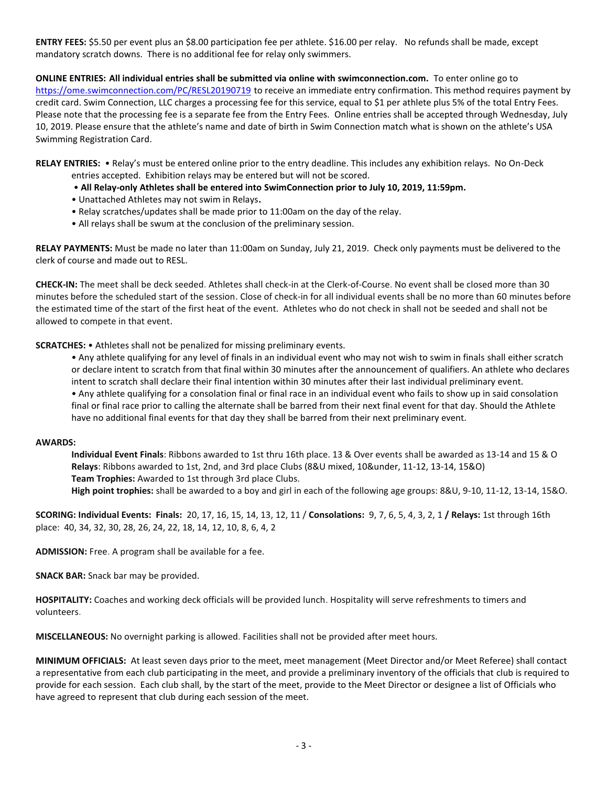**ENTRY FEES:** \$5.50 per event plus an \$8.00 participation fee per athlete. \$16.00 per relay. No refunds shall be made, except mandatory scratch downs. There is no additional fee for relay only swimmers.

**ONLINE ENTRIES: All individual entries shall be submitted via online with swimconnection.com.** To enter online go to <https://ome.swimconnection.com/PC/RESL20190719> to receive an immediate entry confirmation. This method requires payment by credit card. Swim Connection, LLC charges a processing fee for this service, equal to \$1 per athlete plus 5% of the total Entry Fees. Please note that the processing fee is a separate fee from the Entry Fees. Online entries shall be accepted through Wednesday, July 10, 2019. Please ensure that the athlete's name and date of birth in Swim Connection match what is shown on the athlete's USA Swimming Registration Card.

**RELAY ENTRIES:** • Relay's must be entered online prior to the entry deadline. This includes any exhibition relays. No On-Deck

- entries accepted. Exhibition relays may be entered but will not be scored.
- **All Relay-only Athletes shall be entered into SwimConnection prior to July 10, 2019, 11:59pm.**
- Unattached Athletes may not swim in Relays**.**
- Relay scratches/updates shall be made prior to 11:00am on the day of the relay.
- All relays shall be swum at the conclusion of the preliminary session.

**RELAY PAYMENTS:** Must be made no later than 11:00am on Sunday, July 21, 2019. Check only payments must be delivered to the clerk of course and made out to RESL.

**CHECK-IN:** The meet shall be deck seeded. Athletes shall check-in at the Clerk-of-Course. No event shall be closed more than 30 minutes before the scheduled start of the session. Close of check-in for all individual events shall be no more than 60 minutes before the estimated time of the start of the first heat of the event. Athletes who do not check in shall not be seeded and shall not be allowed to compete in that event.

**SCRATCHES:** • Athletes shall not be penalized for missing preliminary events.

• Any athlete qualifying for any level of finals in an individual event who may not wish to swim in finals shall either scratch or declare intent to scratch from that final within 30 minutes after the announcement of qualifiers. An athlete who declares intent to scratch shall declare their final intention within 30 minutes after their last individual preliminary event. • Any athlete qualifying for a consolation final or final race in an individual event who fails to show up in said consolation final or final race prior to calling the alternate shall be barred from their next final event for that day. Should the Athlete have no additional final events for that day they shall be barred from their next preliminary event.

## **AWARDS:**

**Individual Event Finals**: Ribbons awarded to 1st thru 16th place. 13 & Over events shall be awarded as 13-14 and 15 & O **Relays**: Ribbons awarded to 1st, 2nd, and 3rd place Clubs (8&U mixed, 10&under, 11-12, 13-14, 15&O) **Team Trophies:** Awarded to 1st through 3rd place Clubs. **High point trophies:** shall be awarded to a boy and girl in each of the following age groups: 8&U, 9-10, 11-12, 13-14, 15&O.

**SCORING: Individual Events: Finals:** 20, 17, 16, 15, 14, 13, 12, 11 / **Consolations:** 9, 7, 6, 5, 4, 3, 2, 1 **/ Relays:** 1st through 16th place: 40, 34, 32, 30, 28, 26, 24, 22, 18, 14, 12, 10, 8, 6, 4, 2

**ADMISSION:** Free. A program shall be available for a fee.

**SNACK BAR:** Snack bar may be provided.

**HOSPITALITY:** Coaches and working deck officials will be provided lunch. Hospitality will serve refreshments to timers and volunteers.

**MISCELLANEOUS:** No overnight parking is allowed. Facilities shall not be provided after meet hours.

**MINIMUM OFFICIALS:** At least seven days prior to the meet, meet management (Meet Director and/or Meet Referee) shall contact a representative from each club participating in the meet, and provide a preliminary inventory of the officials that club is required to provide for each session. Each club shall, by the start of the meet, provide to the Meet Director or designee a list of Officials who have agreed to represent that club during each session of the meet.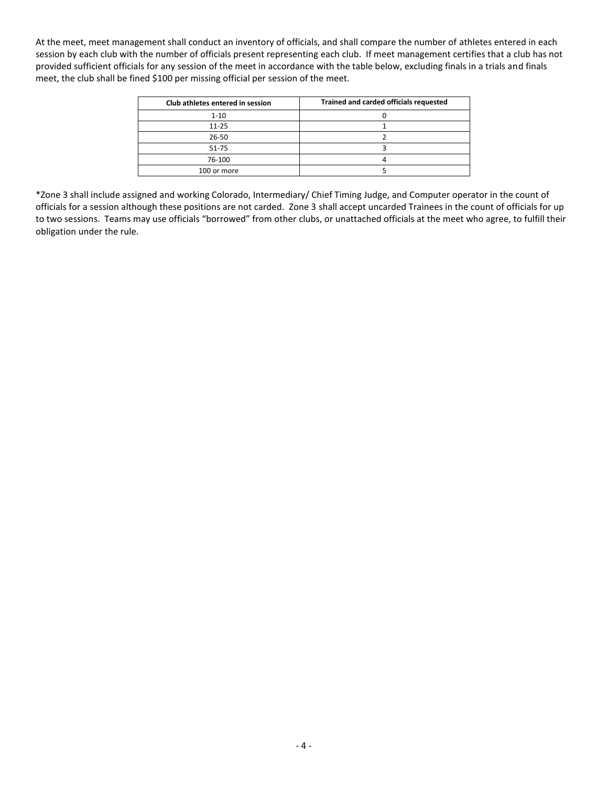At the meet, meet management shall conduct an inventory of officials, and shall compare the number of athletes entered in each session by each club with the number of officials present representing each club. If meet management certifies that a club has not provided sufficient officials for any session of the meet in accordance with the table below, excluding finals in a trials and finals meet, the club shall be fined \$100 per missing official per session of the meet.

| Club athletes entered in session | Trained and carded officials requested |
|----------------------------------|----------------------------------------|
| $1 - 10$                         |                                        |
| $11 - 25$                        |                                        |
| 26-50                            |                                        |
| 51-75                            |                                        |
| 76-100                           |                                        |
| 100 or more                      |                                        |

\*Zone 3 shall include assigned and working Colorado, Intermediary/ Chief Timing Judge, and Computer operator in the count of officials for a session although these positions are not carded. Zone 3 shall accept uncarded Trainees in the count of officials for up to two sessions. Teams may use officials "borrowed" from other clubs, or unattached officials at the meet who agree, to fulfill their obligation under the rule.